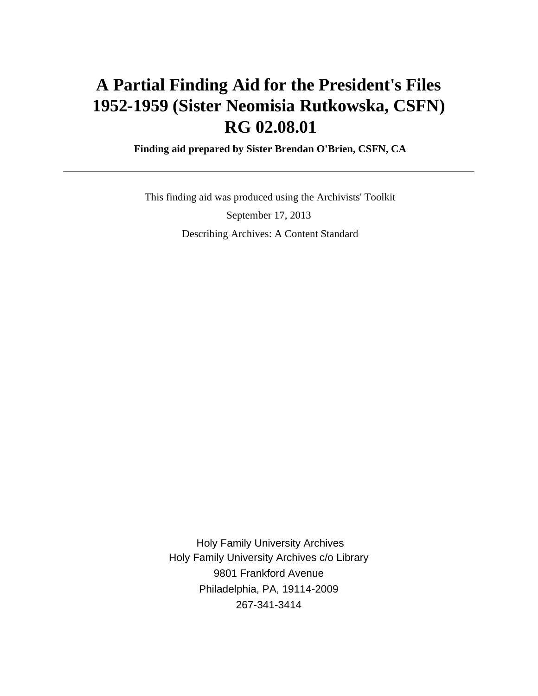# **A Partial Finding Aid for the President's Files 1952-1959 (Sister Neomisia Rutkowska, CSFN) RG 02.08.01**

 **Finding aid prepared by Sister Brendan O'Brien, CSFN, CA**

 This finding aid was produced using the Archivists' Toolkit September 17, 2013 Describing Archives: A Content Standard

 Holy Family University Archives Holy Family University Archives c/o Library 9801 Frankford Avenue Philadelphia, PA, 19114-2009 267-341-3414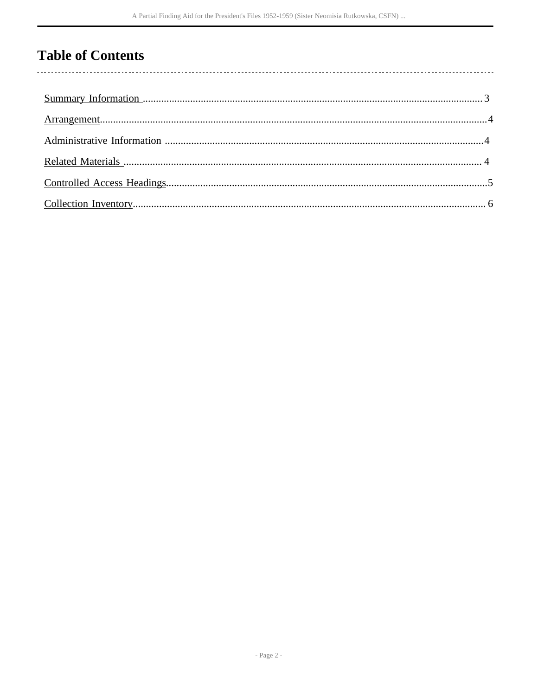# **Table of Contents**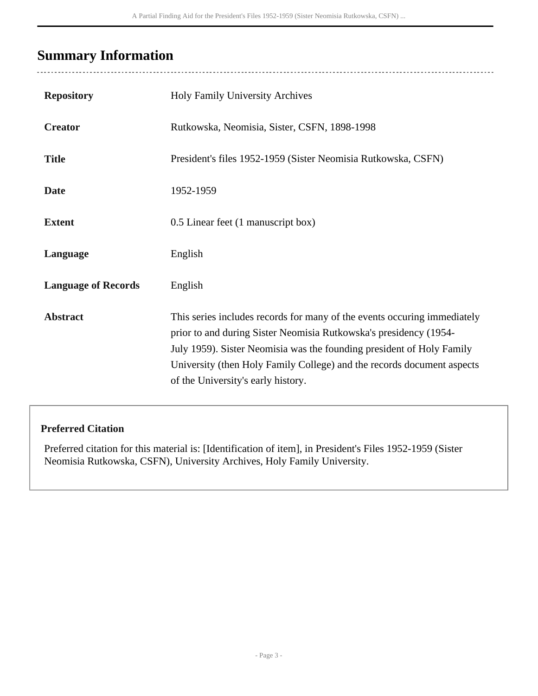# <span id="page-2-0"></span>**Summary Information**

| <b>Repository</b>          | Holy Family University Archives                                                                                                                                                                                                                                                                                                        |
|----------------------------|----------------------------------------------------------------------------------------------------------------------------------------------------------------------------------------------------------------------------------------------------------------------------------------------------------------------------------------|
| <b>Creator</b>             | Rutkowska, Neomisia, Sister, CSFN, 1898-1998                                                                                                                                                                                                                                                                                           |
| <b>Title</b>               | President's files 1952-1959 (Sister Neomisia Rutkowska, CSFN)                                                                                                                                                                                                                                                                          |
| <b>Date</b>                | 1952-1959                                                                                                                                                                                                                                                                                                                              |
| <b>Extent</b>              | 0.5 Linear feet (1 manuscript box)                                                                                                                                                                                                                                                                                                     |
| Language                   | English                                                                                                                                                                                                                                                                                                                                |
| <b>Language of Records</b> | English                                                                                                                                                                                                                                                                                                                                |
| <b>Abstract</b>            | This series includes records for many of the events occuring immediately<br>prior to and during Sister Neomisia Rutkowska's presidency (1954-<br>July 1959). Sister Neomisia was the founding president of Holy Family<br>University (then Holy Family College) and the records document aspects<br>of the University's early history. |

#### **Preferred Citation**

Preferred citation for this material is: [Identification of item], in President's Files 1952-1959 (Sister Neomisia Rutkowska, CSFN), University Archives, Holy Family University.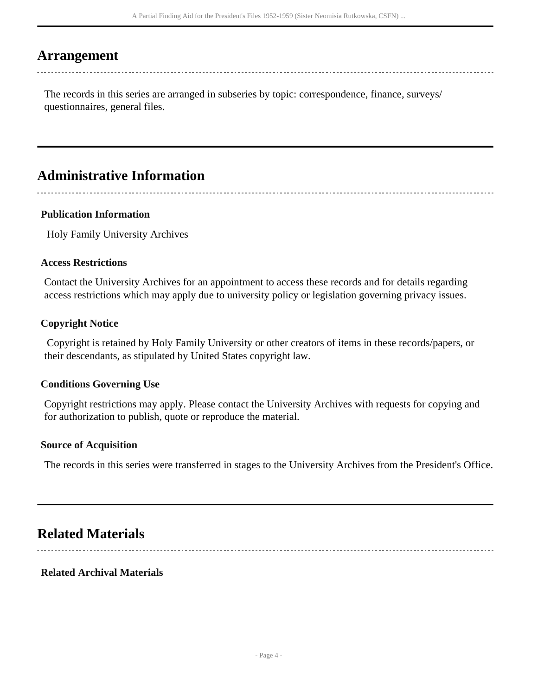### <span id="page-3-0"></span>**Arrangement**

The records in this series are arranged in subseries by topic: correspondence, finance, surveys/ questionnaires, general files.

## <span id="page-3-1"></span>**Administrative Information**

#### **Publication Information**

Holy Family University Archives

#### **Access Restrictions**

Contact the University Archives for an appointment to access these records and for details regarding access restrictions which may apply due to university policy or legislation governing privacy issues.

#### **Copyright Notice**

 Copyright is retained by Holy Family University or other creators of items in these records/papers, or their descendants, as stipulated by United States copyright law.

#### **Conditions Governing Use**

Copyright restrictions may apply. Please contact the University Archives with requests for copying and for authorization to publish, quote or reproduce the material.

#### **Source of Acquisition**

The records in this series were transferred in stages to the University Archives from the President's Office.

## <span id="page-3-2"></span>**Related Materials**

#### **Related Archival Materials**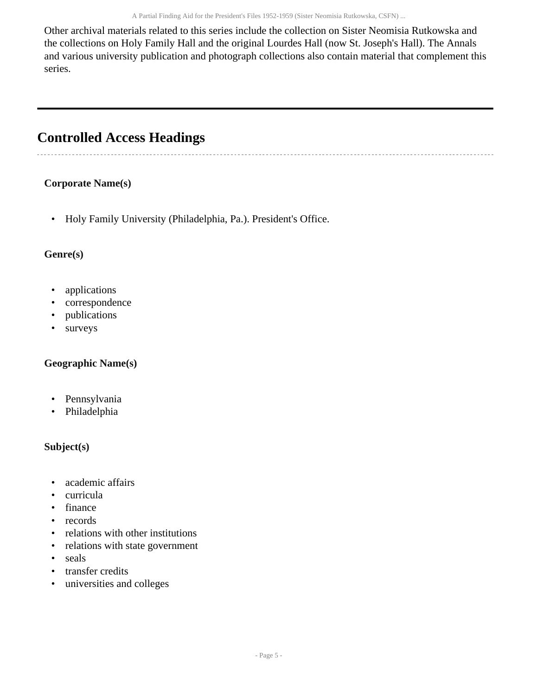Other archival materials related to this series include the collection on Sister Neomisia Rutkowska and the collections on Holy Family Hall and the original Lourdes Hall (now St. Joseph's Hall). The Annals and various university publication and photograph collections also contain material that complement this series.

# <span id="page-4-0"></span>**Controlled Access Headings**

#### **Corporate Name(s)**

• Holy Family University (Philadelphia, Pa.). President's Office.

#### **Genre(s)**

- applications
- correspondence
- publications
- surveys

#### **Geographic Name(s)**

- Pennsylvania
- Philadelphia

#### **Subject(s)**

- academic affairs
- curricula
- finance
- records
- relations with other institutions
- relations with state government
- seals
- transfer credits
- universities and colleges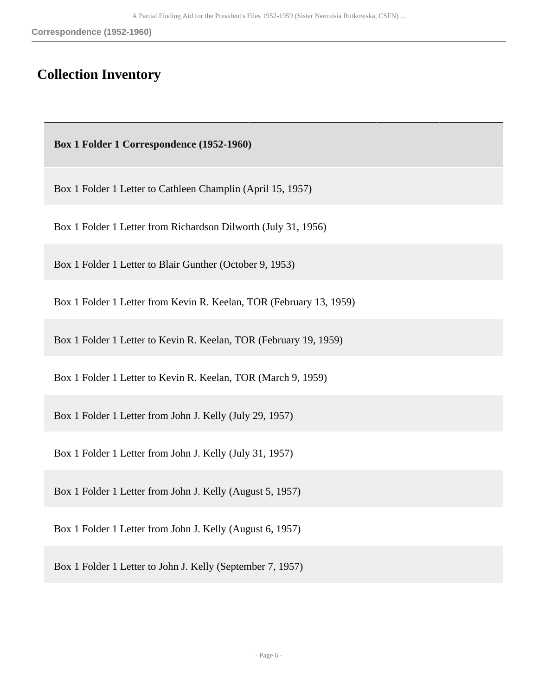### <span id="page-5-0"></span>**Collection Inventory**

 **Box 1 Folder 1 Correspondence (1952-1960)** 

Box 1 Folder 1 Letter to Cathleen Champlin (April 15, 1957)

Box 1 Folder 1 Letter from Richardson Dilworth (July 31, 1956)

Box 1 Folder 1 Letter to Blair Gunther (October 9, 1953)

Box 1 Folder 1 Letter from Kevin R. Keelan, TOR (February 13, 1959)

Box 1 Folder 1 Letter to Kevin R. Keelan, TOR (February 19, 1959)

Box 1 Folder 1 Letter to Kevin R. Keelan, TOR (March 9, 1959)

Box 1 Folder 1 Letter from John J. Kelly (July 29, 1957)

Box 1 Folder 1 Letter from John J. Kelly (July 31, 1957)

Box 1 Folder 1 Letter from John J. Kelly (August 5, 1957)

Box 1 Folder 1 Letter from John J. Kelly (August 6, 1957)

Box 1 Folder 1 Letter to John J. Kelly (September 7, 1957)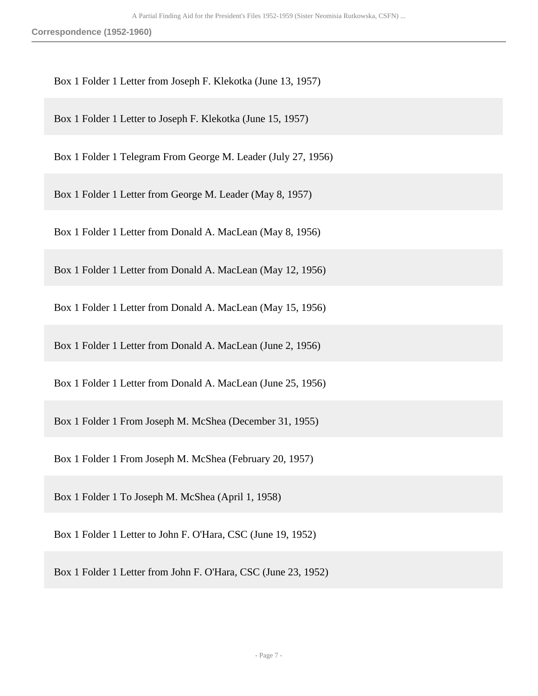**Correspondence (1952-1960)**

Box 1 Folder 1 Letter from Joseph F. Klekotka (June 13, 1957)

Box 1 Folder 1 Letter to Joseph F. Klekotka (June 15, 1957)

Box 1 Folder 1 Telegram From George M. Leader (July 27, 1956)

Box 1 Folder 1 Letter from George M. Leader (May 8, 1957)

Box 1 Folder 1 Letter from Donald A. MacLean (May 8, 1956)

Box 1 Folder 1 Letter from Donald A. MacLean (May 12, 1956)

Box 1 Folder 1 Letter from Donald A. MacLean (May 15, 1956)

Box 1 Folder 1 Letter from Donald A. MacLean (June 2, 1956)

Box 1 Folder 1 Letter from Donald A. MacLean (June 25, 1956)

Box 1 Folder 1 From Joseph M. McShea (December 31, 1955)

Box 1 Folder 1 From Joseph M. McShea (February 20, 1957)

Box 1 Folder 1 To Joseph M. McShea (April 1, 1958)

Box 1 Folder 1 Letter to John F. O'Hara, CSC (June 19, 1952)

Box 1 Folder 1 Letter from John F. O'Hara, CSC (June 23, 1952)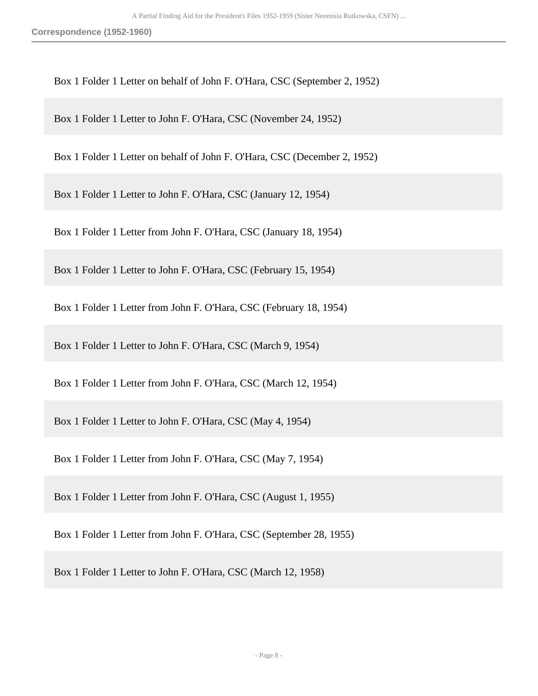**Correspondence (1952-1960)**

Box 1 Folder 1 Letter on behalf of John F. O'Hara, CSC (September 2, 1952)

Box 1 Folder 1 Letter to John F. O'Hara, CSC (November 24, 1952)

Box 1 Folder 1 Letter on behalf of John F. O'Hara, CSC (December 2, 1952)

Box 1 Folder 1 Letter to John F. O'Hara, CSC (January 12, 1954)

Box 1 Folder 1 Letter from John F. O'Hara, CSC (January 18, 1954)

Box 1 Folder 1 Letter to John F. O'Hara, CSC (February 15, 1954)

Box 1 Folder 1 Letter from John F. O'Hara, CSC (February 18, 1954)

Box 1 Folder 1 Letter to John F. O'Hara, CSC (March 9, 1954)

Box 1 Folder 1 Letter from John F. O'Hara, CSC (March 12, 1954)

Box 1 Folder 1 Letter to John F. O'Hara, CSC (May 4, 1954)

Box 1 Folder 1 Letter from John F. O'Hara, CSC (May 7, 1954)

Box 1 Folder 1 Letter from John F. O'Hara, CSC (August 1, 1955)

Box 1 Folder 1 Letter from John F. O'Hara, CSC (September 28, 1955)

Box 1 Folder 1 Letter to John F. O'Hara, CSC (March 12, 1958)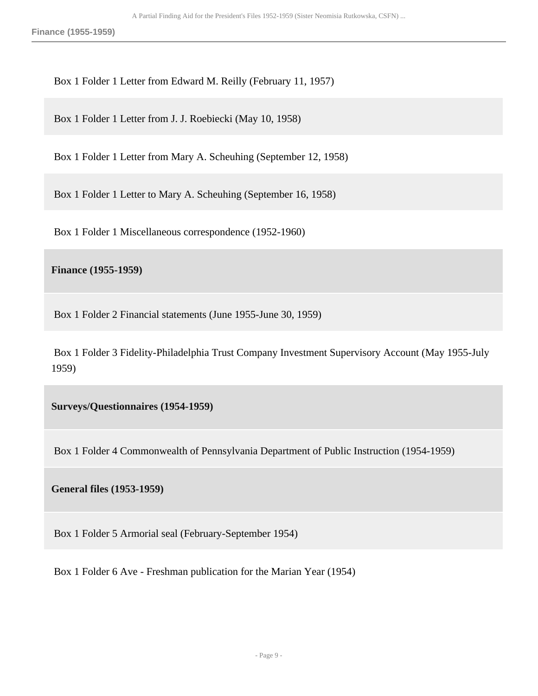**Finance (1955-1959)**

Box 1 Folder 1 Letter from Edward M. Reilly (February 11, 1957)

Box 1 Folder 1 Letter from J. J. Roebiecki (May 10, 1958)

Box 1 Folder 1 Letter from Mary A. Scheuhing (September 12, 1958)

Box 1 Folder 1 Letter to Mary A. Scheuhing (September 16, 1958)

Box 1 Folder 1 Miscellaneous correspondence (1952-1960)

**Finance (1955-1959)** 

Box 1 Folder 2 Financial statements (June 1955-June 30, 1959)

 Box 1 Folder 3 Fidelity-Philadelphia Trust Company Investment Supervisory Account (May 1955-July 1959)

**Surveys/Questionnaires (1954-1959)** 

Box 1 Folder 4 Commonwealth of Pennsylvania Department of Public Instruction (1954-1959)

**General files (1953-1959)** 

Box 1 Folder 5 Armorial seal (February-September 1954)

Box 1 Folder 6 Ave - Freshman publication for the Marian Year (1954)